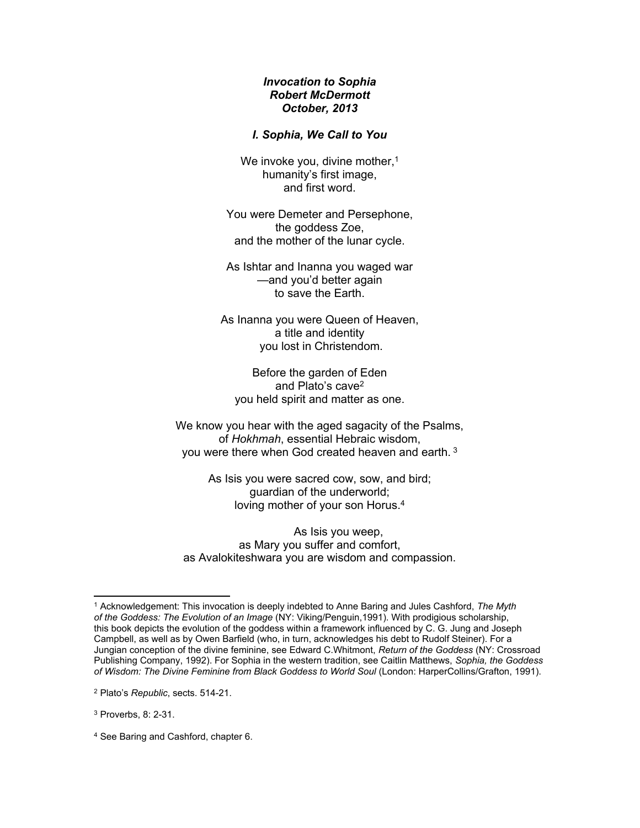# *Invocation to Sophia Robert McDermott October, 2013*

# *I. Sophia, We Call to You*

We invoke you, divine mother,<sup>1</sup> humanity's first image, and first word.

You were Demeter and Persephone, the goddess Zoe, and the mother of the lunar cycle.

As Ishtar and Inanna you waged war —and you'd better again to save the Earth.

As Inanna you were Queen of Heaven, a title and identity you lost in Christendom.

Before the garden of Eden and Plato's cave<sup>2</sup> you held spirit and matter as one.

We know you hear with the aged sagacity of the Psalms, of *Hokhmah*, essential Hebraic wisdom, you were there when God created heaven and earth. <sup>3</sup>

> As Isis you were sacred cow, sow, and bird; guardian of the underworld; loving mother of your son Horus.<sup>4</sup>

As Isis you weep, as Mary you suffer and comfort, as Avalokiteshwara you are wisdom and compassion.

<sup>1</sup> Acknowledgement: This invocation is deeply indebted to Anne Baring and Jules Cashford, *The Myth of the Goddess: The Evolution of an Image* (NY: Viking/Penguin,1991). With prodigious scholarship, this book depicts the evolution of the goddess within a framework influenced by C. G. Jung and Joseph Campbell, as well as by Owen Barfield (who, in turn, acknowledges his debt to Rudolf Steiner). For a Jungian conception of the divine feminine, see Edward C.Whitmont, *Return of the Goddess* (NY: Crossroad Publishing Company, 1992). For Sophia in the western tradition, see Caitlin Matthews, *Sophia, the Goddess*  of Wisdom: The Divine Feminine from Black Goddess to World Soul (London: HarperCollins/Grafton, 1991).

<sup>2</sup> Plato's *Republic*, sects. 514-21.

<sup>3</sup> Proverbs, 8: 2-31.

<sup>4</sup> See Baring and Cashford, chapter 6.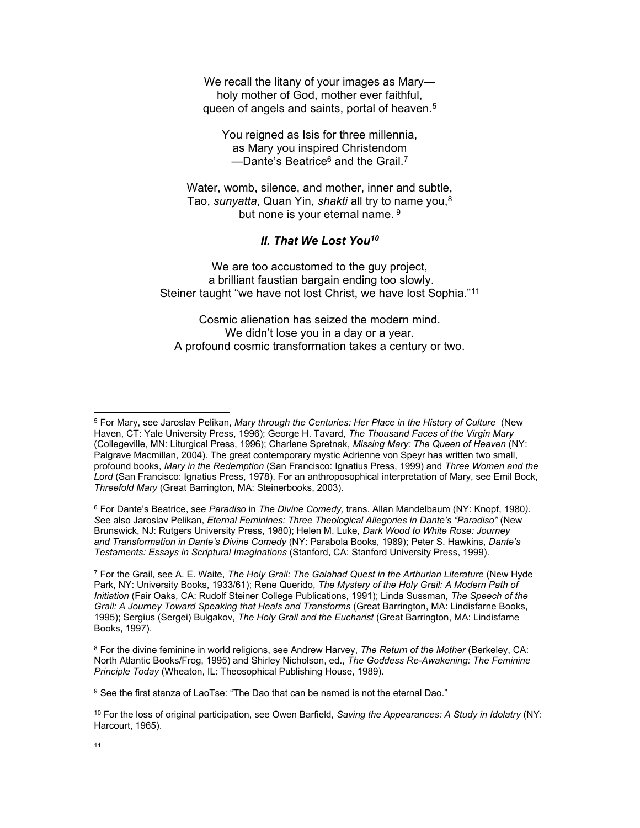We recall the litany of your images as Mary holy mother of God, mother ever faithful, queen of angels and saints, portal of heaven.<sup>5</sup>

You reigned as Isis for three millennia, as Mary you inspired Christendom —Dante's Beatrice<sup>6</sup> and the Grail.<sup>7</sup>

Water, womb, silence, and mother, inner and subtle, Tao, *sunyatta*, Quan Yin, *shakti* all try to name you,<sup>8</sup> but none is your eternal name. 9

### *II. That We Lost You<sup>10</sup>*

We are too accustomed to the guy project, a brilliant faustian bargain ending too slowly. Steiner taught "we have not lost Christ, we have lost Sophia."<sup>11</sup>

Cosmic alienation has seized the modern mind. We didn't lose you in a day or a year. A profound cosmic transformation takes a century or two.

6 For Dante's Beatrice, see *Paradiso* in *The Divine Comedy,* trans. Allan Mandelbaum (NY: Knopf, 1980*). S*ee also Jaroslav Pelikan, *Eternal Feminines: Three Theological Allegories in Dante's "Paradiso"* (New Brunswick, NJ: Rutgers University Press, 1980); Helen M. Luke, *Dark Wood to White Rose: Journey and Transformation in Dante's Divine Comedy* (NY: Parabola Books, 1989); Peter S. Hawkins, *Dante's Testaments: Essays in Scriptural Imaginations* (Stanford, CA: Stanford University Press, 1999).

7 For the Grail, see A. E. Waite, *The Holy Grail: The Galahad Quest in the Arthurian Literature* (New Hyde Park, NY: University Books, 1933/61); Rene Querido, *The Mystery of the Holy Grail: A Modern Path of Initiation* (Fair Oaks, CA: Rudolf Steiner College Publications, 1991); Linda Sussman, *The Speech of the*  Grail: A Journey Toward Speaking that Heals and Transforms (Great Barrington, MA: Lindisfarne Books, 1995); Sergius (Sergei) Bulgakov, *The Holy Grail and the Eucharist* (Great Barrington, MA: Lindisfarne Books, 1997).

8 For the divine feminine in world religions, see Andrew Harvey, *The Return of the Mother* (Berkeley, CA: North Atlantic Books/Frog, 1995) and Shirley Nicholson, ed., *The Goddess Re-Awakening: The Feminine Principle Today* (Wheaton, IL: Theosophical Publishing House, 1989).

 $^9$  See the first stanza of LaoTse: "The Dao that can be named is not the eternal Dao."

10 For the loss of original participation, see Owen Barfield, *Saving the Appearances: A Study in Idolatry* (NY: Harcourt, 1965).

<sup>5</sup> For Mary, see Jaroslav Pelikan, *Mary through the Centuries: Her Place in the History of Culture* (New Haven, CT: Yale University Press, 1996); George H. Tavard, *The Thousand Faces of the Virgin Mary*  (Collegeville, MN: Liturgical Press, 1996); Charlene Spretnak, *Missing Mary: The Queen of Heaven* (NY: Palgrave Macmillan, 2004). The great contemporary mystic Adrienne von Speyr has written two small, profound books, *Mary in the Redemption* (San Francisco: Ignatius Press, 1999) and *Three Women and the Lord* (San Francisco: Ignatius Press, 1978). For an anthroposophical interpretation of Mary, see Emil Bock, *Threefold Mary* (Great Barrington, MA: Steinerbooks, 2003).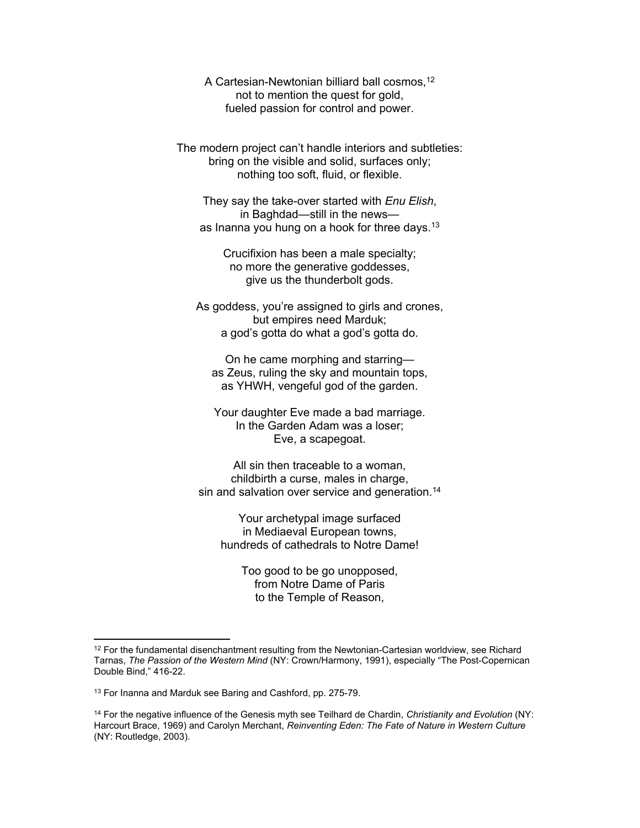A Cartesian-Newtonian billiard ball cosmos,<sup>12</sup> not to mention the quest for gold, fueled passion for control and power.

The modern project can't handle interiors and subtleties: bring on the visible and solid, surfaces only; nothing too soft, fluid, or flexible.

They say the take-over started with *Enu Elish*, in Baghdad—still in the news as Inanna you hung on a hook for three days.<sup>13</sup>

Crucifixion has been a male specialty; no more the generative goddesses, give us the thunderbolt gods.

As goddess, you're assigned to girls and crones, but empires need Marduk; a god's gotta do what a god's gotta do.

On he came morphing and starring as Zeus, ruling the sky and mountain tops, as YHWH, vengeful god of the garden.

Your daughter Eve made a bad marriage. In the Garden Adam was a loser; Eve, a scapegoat.

All sin then traceable to a woman, childbirth a curse, males in charge, sin and salvation over service and generation.<sup>14</sup>

Your archetypal image surfaced in Mediaeval European towns, hundreds of cathedrals to Notre Dame!

> Too good to be go unopposed, from Notre Dame of Paris to the Temple of Reason,

<sup>&</sup>lt;sup>12</sup> For the fundamental disenchantment resulting from the Newtonian-Cartesian worldview, see Richard Tarnas, *The Passion of the Western Mind* (NY: Crown/Harmony, 1991), especially "The Post-Copernican Double Bind," 416-22.

<sup>&</sup>lt;sup>13</sup> For Inanna and Marduk see Baring and Cashford, pp. 275-79.

<sup>14</sup> For the negative influence of the Genesis myth see Teilhard de Chardin, *Christianity and Evolution* (NY: Harcourt Brace, 1969) and Carolyn Merchant, *Reinventing Eden: The Fate of Nature in Western Culture* (NY: Routledge, 2003).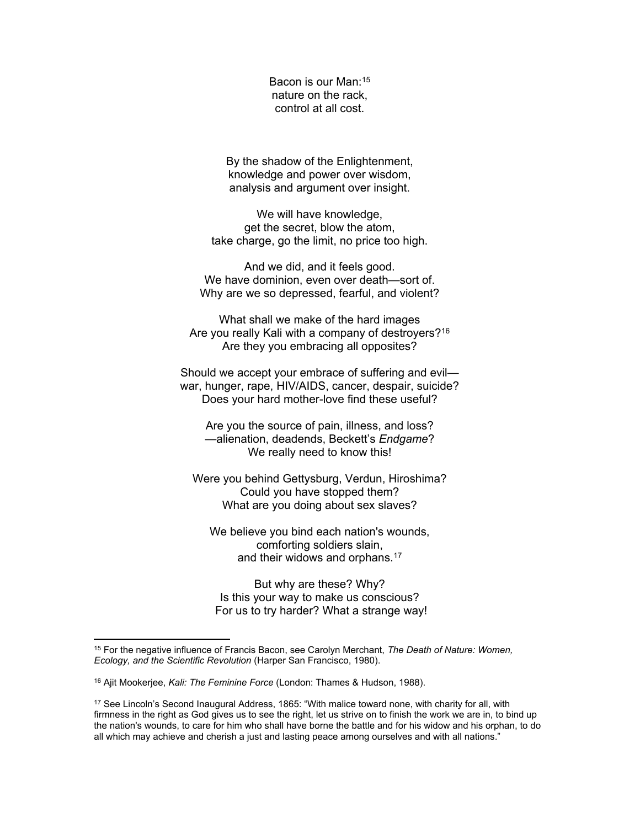Bacon is our Man:<sup>15</sup> nature on the rack, control at all cost.

By the shadow of the Enlightenment, knowledge and power over wisdom, analysis and argument over insight.

We will have knowledge, get the secret, blow the atom, take charge, go the limit, no price too high.

And we did, and it feels good. We have dominion, even over death—sort of. Why are we so depressed, fearful, and violent?

What shall we make of the hard images Are you really Kali with a company of destroyers?<sup>16</sup> Are they you embracing all opposites?

Should we accept your embrace of suffering and evil war, hunger, rape, HIV/AIDS, cancer, despair, suicide? Does your hard mother-love find these useful?

Are you the source of pain, illness, and loss? —alienation, deadends, Beckett's *Endgame*? We really need to know this!

Were you behind Gettysburg, Verdun, Hiroshima? Could you have stopped them? What are you doing about sex slaves?

We believe you bind each nation's wounds, comforting soldiers slain, and their widows and orphans.<sup>17</sup>

But why are these? Why? Is this your way to make us conscious? For us to try harder? What a strange way!

<sup>15</sup> For the negative influence of Francis Bacon, see Carolyn Merchant, *The Death of Nature: Women, Ecology, and the Scientific Revolution* (Harper San Francisco, 1980).

<sup>16</sup> Ajit Mookerjee, *Kali: The Feminine Force* (London: Thames & Hudson, 1988).

<sup>&</sup>lt;sup>17</sup> See Lincoln's Second Inaugural Address, 1865: "With malice toward none, with charity for all, with firmness in the right as God gives us to see the right, let us strive on to finish the work we are in, to bind up the nation's wounds, to care for him who shall have borne the battle and for his widow and his orphan, to do all which may achieve and cherish a just and lasting peace among ourselves and with all nations."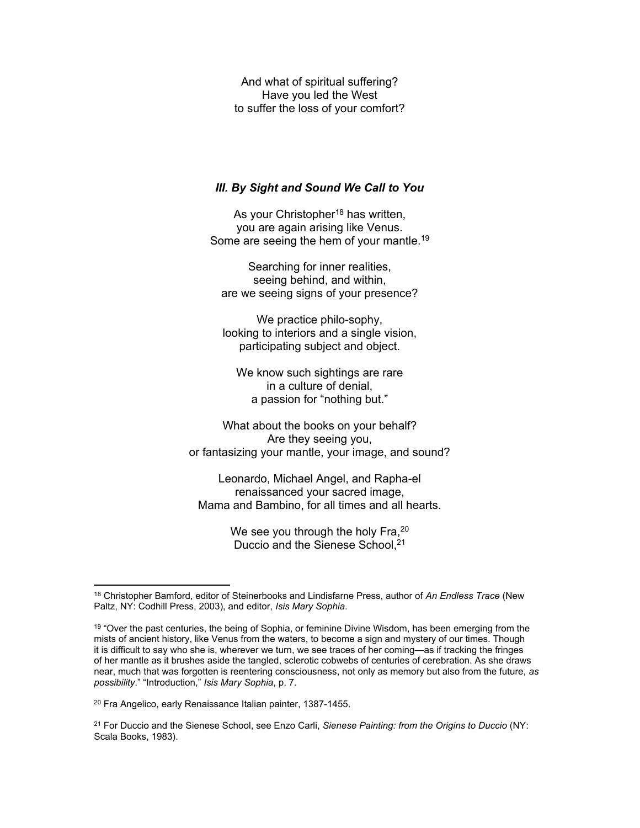And what of spiritual suffering? Have you led the West to suffer the loss of your comfort?

### *III. By Sight and Sound We Call to You*

As your Christopher<sup>18</sup> has written, you are again arising like Venus. Some are seeing the hem of your mantle.<sup>19</sup>

Searching for inner realities, seeing behind, and within, are we seeing signs of your presence?

We practice philo-sophy, looking to interiors and a single vision, participating subject and object.

We know such sightings are rare in a culture of denial, a passion for "nothing but."

What about the books on your behalf? Are they seeing you, or fantasizing your mantle, your image, and sound?

Leonardo, Michael Angel, and Rapha-el renaissanced your sacred image, Mama and Bambino, for all times and all hearts.

> We see you through the holy Fra, 20 Duccio and the Sienese School, 21

20 Fra Angelico, early Renaissance Italian painter, 1387-1455.

<sup>18</sup> Christopher Bamford, editor of Steinerbooks and Lindisfarne Press, author of *An Endless Trace* (New Paltz, NY: Codhill Press, 2003), and editor, *Isis Mary Sophia*.

<sup>19</sup> "Over the past centuries, the being of Sophia, or feminine Divine Wisdom, has been emerging from the mists of ancient history, like Venus from the waters, to become a sign and mystery of our times. Though it is difficult to say who she is, wherever we turn, we see traces of her coming—as if tracking the fringes of her mantle as it brushes aside the tangled, sclerotic cobwebs of centuries of cerebration. As she draws near, much that was forgotten is reentering consciousness, not only as memory but also from the future, *as possibility*." "Introduction," *Isis Mary Sophia*, p. 7.

<sup>21</sup> For Duccio and the Sienese School, see Enzo Carli, *Sienese Painting: from the Origins to Duccio* (NY: Scala Books, 1983).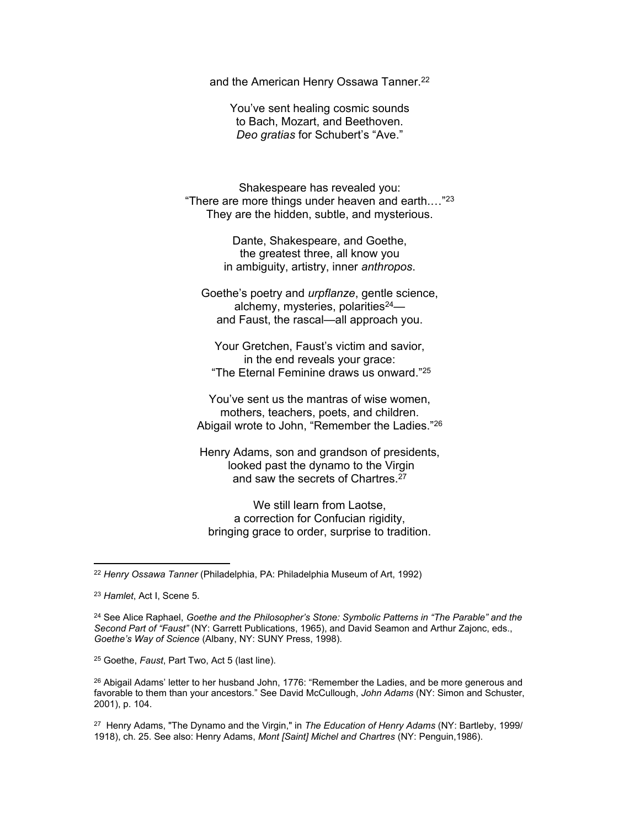and the American Henry Ossawa Tanner.<sup>22</sup>

You've sent healing cosmic sounds to Bach, Mozart, and Beethoven. *Deo gratias* for Schubert's "Ave."

Shakespeare has revealed you: "There are more things under heaven and earth.…"<sup>23</sup> They are the hidden, subtle, and mysterious.

> Dante, Shakespeare, and Goethe, the greatest three, all know you in ambiguity, artistry, inner *anthropos*.

Goethe's poetry and *urpflanze*, gentle science, alchemy, mysteries, polarities<sup>24</sup> and Faust, the rascal—all approach you.

Your Gretchen, Faust's victim and savior, in the end reveals your grace: "The Eternal Feminine draws us onward."<sup>25</sup>

You've sent us the mantras of wise women, mothers, teachers, poets, and children. Abigail wrote to John, "Remember the Ladies."<sup>26</sup>

Henry Adams, son and grandson of presidents, looked past the dynamo to the Virgin and saw the secrets of Chartres.<sup>27</sup>

We still learn from Laotse, a correction for Confucian rigidity, bringing grace to order, surprise to tradition.

25 Goethe, *Faust*, Part Two, Act 5 (last line).

<sup>26</sup> Abigail Adams' letter to her husband John, 1776: "Remember the Ladies, and be more generous and favorable to them than your ancestors." See David McCullough, *John Adams* (NY: Simon and Schuster, 2001), p. 104.

27 Henry Adams, "The Dynamo and the Virgin," in *The Education of Henry Adams* (NY: Bartleby, 1999/ 1918), ch. 25. See also: Henry Adams, *Mont [Saint] Michel and Chartres* (NY: Penguin,1986).

<sup>22</sup> *Henry Ossawa Tanner* (Philadelphia, PA: Philadelphia Museum of Art, 1992)

<sup>23</sup> *Hamlet*, Act I, Scene 5.

<sup>24</sup> See Alice Raphael, *Goethe and the Philosopher's Stone: Symbolic Patterns in "The Parable" and the Second Part of "Faust"* (NY: Garrett Publications, 1965), and David Seamon and Arthur Zajonc, eds., *Goethe's Way of Science* (Albany, NY: SUNY Press, 1998).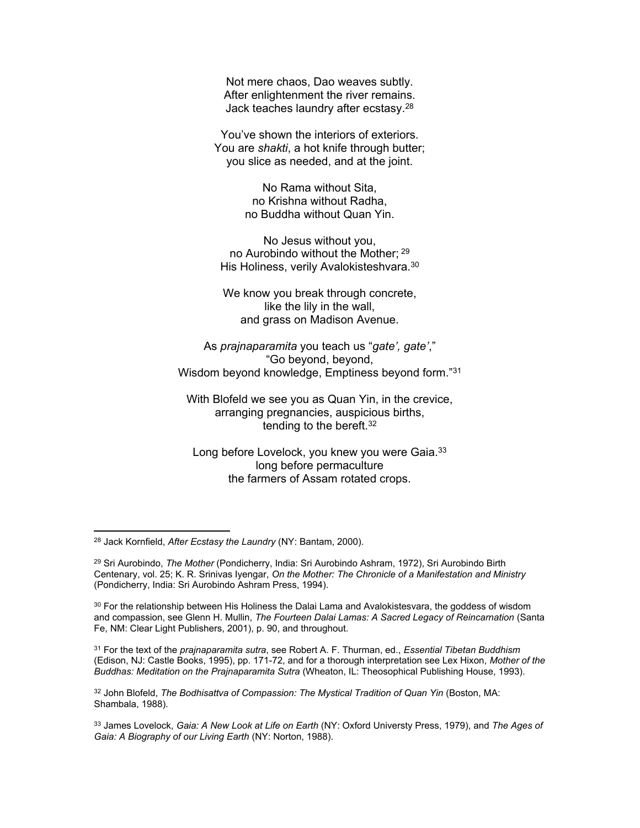Not mere chaos, Dao weaves subtly. After enlightenment the river remains. Jack teaches laundry after ecstasy.<sup>28</sup>

You've shown the interiors of exteriors. You are *shakti*, a hot knife through butter; you slice as needed, and at the joint.

> No Rama without Sita, no Krishna without Radha, no Buddha without Quan Yin.

No Jesus without you, no Aurobindo without the Mother; <sup>29</sup> His Holiness, verily Avalokisteshvara.<sup>30</sup>

We know you break through concrete, like the lily in the wall, and grass on Madison Avenue.

As *prajnaparamita* you teach us "*gate', gate'*," "Go beyond, beyond, Wisdom beyond knowledge, Emptiness beyond form."<sup>31</sup>

With Blofeld we see you as Quan Yin, in the crevice, arranging pregnancies, auspicious births, tending to the bereft.<sup>32</sup>

Long before Lovelock, you knew you were Gaia.<sup>33</sup> long before permaculture the farmers of Assam rotated crops.

31 For the text of the *prajnaparamita sutra*, see Robert A. F. Thurman, ed., *Essential Tibetan Buddhism* (Edison, NJ: Castle Books, 1995), pp. 171-72, and for a thorough interpretation see Lex Hixon, *Mother of the Buddhas: Meditation on the Prajnaparamita Sutra* (Wheaton, IL: Theosophical Publishing House, 1993).

<sup>32</sup> John Blofeld, *The Bodhisattva of Compassion: The Mystical Tradition of Quan Yin* (Boston, MA: Shambala, 1988).

33 James Lovelock, *Gaia: A New Look at Life on Earth* (NY: Oxford Universty Press, 1979), and *The Ages of Gaia: A Biography of our Living Earth* (NY: Norton, 1988).

<sup>28</sup> Jack Kornfield, *After Ecstasy the Laundry* (NY: Bantam, 2000).

<sup>29</sup> Sri Aurobindo, *The Mother* (Pondicherry, India: Sri Aurobindo Ashram, 1972), Sri Aurobindo Birth Centenary, vol. 25; K. R. Srinivas Iyengar, *On the Mother: The Chronicle of a Manifestation and Ministry*  (Pondicherry, India: Sri Aurobindo Ashram Press, 1994).

 $30$  For the relationship between His Holiness the Dalai Lama and Avalokistesvara, the goddess of wisdom and compassion, see Glenn H. Mullin, *The Fourteen Dalai Lamas: A Sacred Legacy of Reincarnation* (Santa Fe, NM: Clear Light Publishers, 2001), p. 90, and throughout.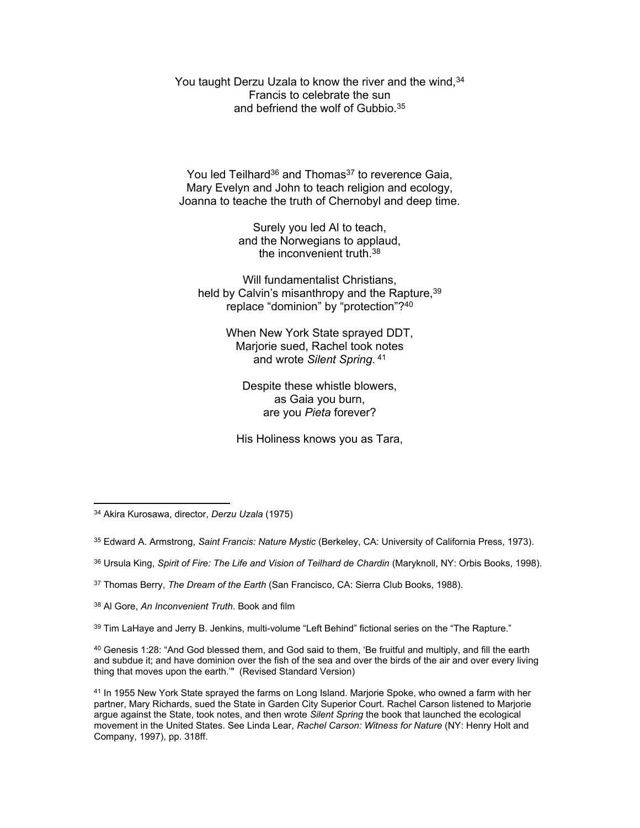You taught Derzu Uzala to know the river and the wind, 34 Francis to celebrate the sun and befriend the wolf of Gubbio.<sup>35</sup>

You led Teilhard<sup>36</sup> and Thomas<sup>37</sup> to reverence Gaia, Mary Evelyn and John to teach religion and ecology, Joanna to teache the truth of Chernobyl and deep time.

> Surely you led Al to teach, and the Norwegians to applaud, the inconvenient truth.<sup>38</sup>

Will fundamentalist Christians. held by Calvin's misanthropy and the Rapture, 39 replace "dominion" by "protection"?<sup>40</sup>

> When New York State sprayed DDT, Marjorie sued, Rachel took notes and wrote *Silent Spring*. 41

Despite these whistle blowers, as Gaia you burn, are you *Pieta* forever?

His Holiness knows you as Tara,

- 36 Ursula King, *Spirit of Fire: The Life and Vision of Teilhard de Chardin* (Maryknoll, NY: Orbis Books, 1998).
- 37 Thomas Berry, *The Dream of the Earth* (San Francisco, CA: Sierra Club Books, 1988).
- 38 Al Gore, *An Inconvenient Truth*. Book and film

39 Tim LaHaye and Jerry B. Jenkins, multi-volume "Left Behind" fictional series on the "The Rapture."

 $^{40}$  Genesis 1:28: "And God blessed them, and God said to them, 'Be fruitful and multiply, and fill the earth and subdue it; and have dominion over the fish of the sea and over the birds of the air and over every living thing that moves upon the earth.'" (Revised Standard Version)

<sup>34</sup> Akira Kurosawa, director, *Derzu Uzala* (1975)

<sup>35</sup> Edward A. Armstrong, *Saint Francis: Nature Mystic* (Berkeley, CA: University of California Press, 1973).

<sup>&</sup>lt;sup>41</sup> In 1955 New York State sprayed the farms on Long Island. Marjorie Spoke, who owned a farm with her partner, Mary Richards, sued the State in Garden City Superior Court. Rachel Carson listened to Marjorie argue against the State, took notes, and then wrote *Silent Spring* the book that launched the ecological movement in the United States. See Linda Lear, *Rachel Carson: Witness for Nature* (NY: Henry Holt and Company, 1997), pp. 318ff.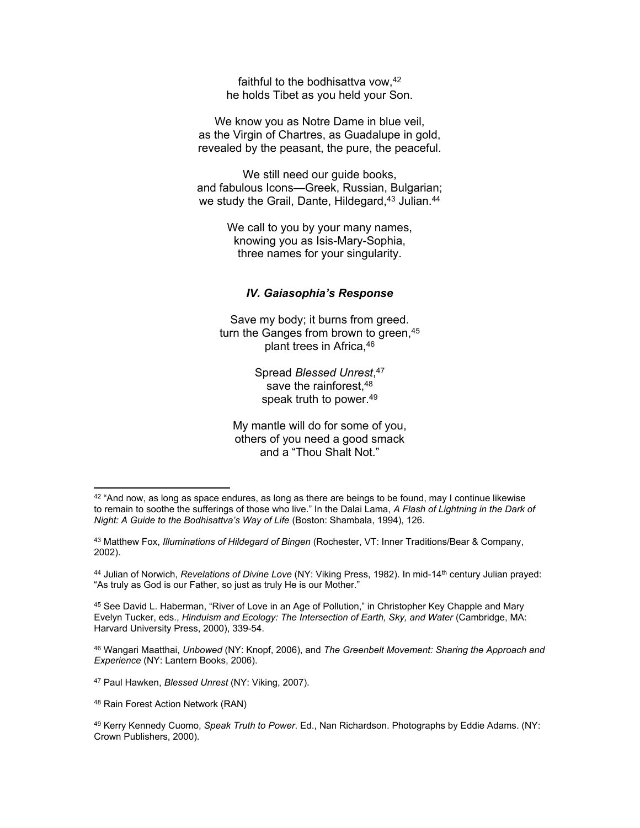faithful to the bodhisattva vow, <sup>42</sup> he holds Tibet as you held your Son.

We know you as Notre Dame in blue veil, as the Virgin of Chartres, as Guadalupe in gold, revealed by the peasant, the pure, the peaceful.

We still need our guide books, and fabulous Icons—Greek, Russian, Bulgarian; we study the Grail, Dante, Hildegard,<sup>43</sup> Julian.<sup>44</sup>

> We call to you by your many names, knowing you as Isis-Mary-Sophia, three names for your singularity.

# *IV. Gaiasophia's Response*

Save my body; it burns from greed. turn the Ganges from brown to green, 45 plant trees in Africa,<sup>46</sup>

> Spread *Blessed Unrest*, 47 save the rainforest, 48 speak truth to power.<sup>49</sup>

My mantle will do for some of you, others of you need a good smack and a "Thou Shalt Not."

47 Paul Hawken, *Blessed Unrest* (NY: Viking, 2007).

 $42$  "And now, as long as space endures, as long as there are beings to be found, may I continue likewise to remain to soothe the sufferings of those who live." In the Dalai Lama, *A Flash of Lightning in the Dark of Night: A Guide to the Bodhisattva's Way of Life* (Boston: Shambala, 1994), 126.

<sup>43</sup> Matthew Fox, *Illuminations of Hildegard of Bingen* (Rochester, VT: Inner Traditions/Bear & Company, 2002).

<sup>44</sup> Julian of Norwich, *Revelations of Divine Love* (NY: Viking Press, 1982). In mid-14th century Julian prayed: "As truly as God is our Father, so just as truly He is our Mother."

<sup>45</sup> See David L. Haberman, "River of Love in an Age of Pollution," in Christopher Key Chapple and Mary Evelyn Tucker, eds., *Hinduism and Ecology: The Intersection of Earth, Sky, and Water* (Cambridge, MA: Harvard University Press, 2000), 339-54.

<sup>46</sup> Wangari Maatthai, *Unbowed* (NY: Knopf, 2006), and *The Greenbelt Movement: Sharing the Approach and Experience* (NY: Lantern Books, 2006).

<sup>48</sup> Rain Forest Action Network (RAN)

<sup>49</sup> Kerry Kennedy Cuomo, *Speak Truth to Power*. Ed., Nan Richardson. Photographs by Eddie Adams. (NY: Crown Publishers, 2000).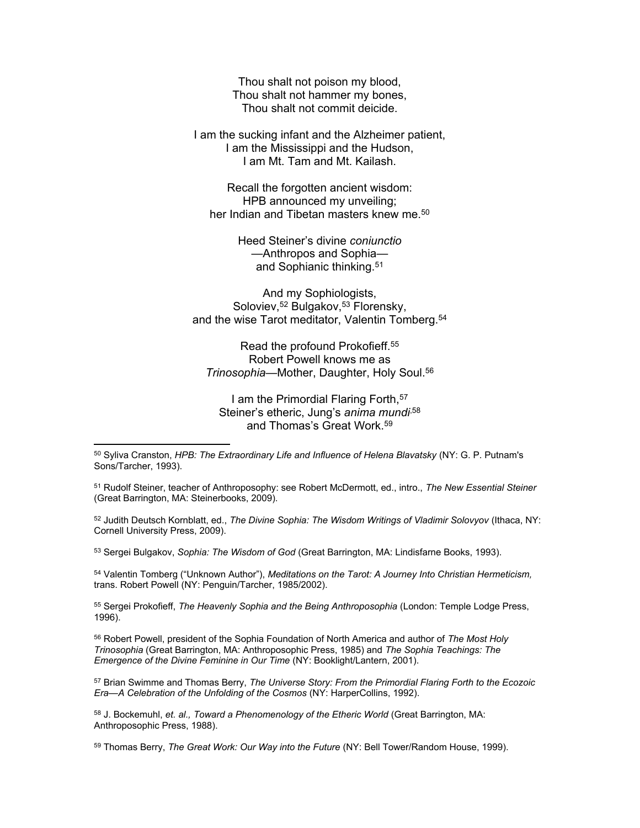Thou shalt not poison my blood, Thou shalt not hammer my bones, Thou shalt not commit deicide.

I am the sucking infant and the Alzheimer patient, I am the Mississippi and the Hudson, I am Mt. Tam and Mt. Kailash.

Recall the forgotten ancient wisdom: HPB announced my unveiling; her Indian and Tibetan masters knew me.<sup>50</sup>

> Heed Steiner's divine *coniunctio* —Anthropos and Sophia and Sophianic thinking.<sup>51</sup>

And my Sophiologists, Soloviev, <sup>52</sup> Bulgakov, <sup>53</sup> Florensky, and the wise Tarot meditator, Valentin Tomberg.<sup>54</sup>

Read the profound Prokofieff.<sup>55</sup> Robert Powell knows me as *Trinosophia*—Mother, Daughter, Holy Soul.<sup>56</sup>

I am the Primordial Flaring Forth, 57 Steiner's etheric, Jung's *anima mundi*,58 and Thomas's Great Work.<sup>59</sup>

50 Syliva Cranston, *HPB: The Extraordinary Life and Influence of Helena Blavatsky* (NY: G. P. Putnam's Sons/Tarcher, 1993).

51 Rudolf Steiner, teacher of Anthroposophy: see Robert McDermott, ed., intro., *The New Essential Steiner* (Great Barrington, MA: Steinerbooks, 2009).

52 Judith Deutsch Kornblatt, ed., *The Divine Sophia: The Wisdom Writings of Vladimir Solovyov* (Ithaca, NY: Cornell University Press, 2009).

53 Sergei Bulgakov, *Sophia: The Wisdom of God* (Great Barrington, MA: Lindisfarne Books, 1993).

<sup>54</sup> Valentin Tomberg ("Unknown Author"), *Meditations on the Tarot: A Journey Into Christian Hermeticism,* trans. Robert Powell (NY: Penguin/Tarcher, 1985/2002).

55 Sergei Prokofieff, *The Heavenly Sophia and the Being Anthroposophia* (London: Temple Lodge Press, 1996).

56 Robert Powell, president of the Sophia Foundation of North America and author of *The Most Holy Trinosophia* (Great Barrington, MA: Anthroposophic Press, 1985) and *The Sophia Teachings: The Emergence of the Divine Feminine in Our Time* (NY: Booklight/Lantern, 2001).

57 Brian Swimme and Thomas Berry, *The Universe Story: From the Primordial Flaring Forth to the Ecozoic Era—A Celebration of the Unfolding of the Cosmos* (NY: HarperCollins, 1992).

58 J. Bockemuhl, *et. al., Toward a Phenomenology of the Etheric World* (Great Barrington, MA: Anthroposophic Press, 1988).

59 Thomas Berry, *The Great Work: Our Way into the Future* (NY: Bell Tower/Random House, 1999).